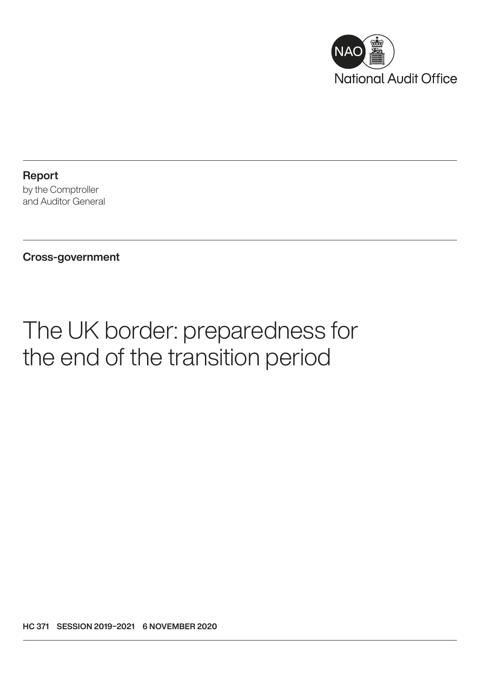

Report by the Comptroller and Auditor General

Cross-government

# The UK border: preparedness for the end of the transition period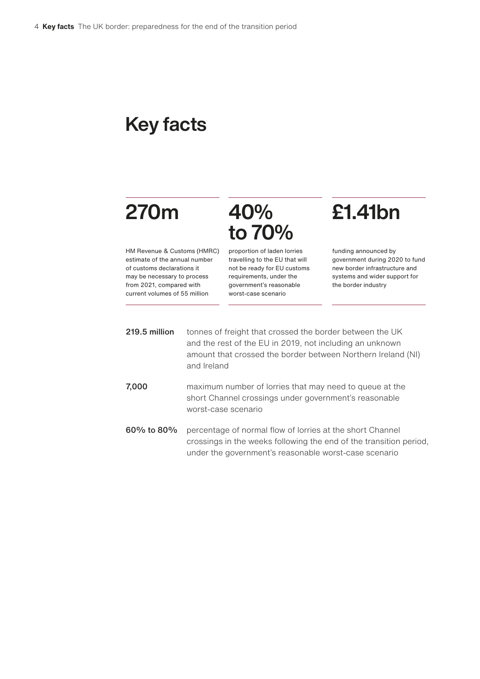## Key facts

# 270m

## 40% to 70%

HM Revenue & Customs (HMRC) estimate of the annual number of customs declarations it may be necessary to process from 2021, compared with current volumes of 55 million

proportion of laden lorries travelling to the EU that will not be ready for EU customs requirements, under the government's reasonable worst-case scenario

## £1.41bn

funding announced by government during 2020 to fund new border infrastructure and systems and wider support for the border industry

- 219.5 million tonnes of freight that crossed the border between the UK and the rest of the EU in 2019, not including an unknown amount that crossed the border between Northern Ireland (NI) and Ireland
- 7,000 maximum number of lorries that may need to queue at the short Channel crossings under government's reasonable worst-case scenario
- 60% to 80% percentage of normal flow of lorries at the short Channel crossings in the weeks following the end of the transition period, under the government's reasonable worst-case scenario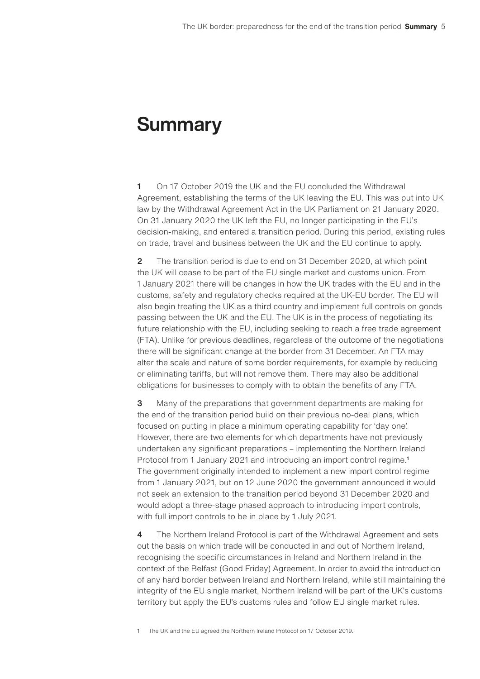## **Summary**

1 On 17 October 2019 the UK and the EU concluded the Withdrawal Agreement, establishing the terms of the UK leaving the EU. This was put into UK law by the Withdrawal Agreement Act in the UK Parliament on 21 January 2020. On 31 January 2020 the UK left the EU, no longer participating in the EU's decision-making, and entered a transition period. During this period, existing rules on trade, travel and business between the UK and the EU continue to apply.

2 The transition period is due to end on 31 December 2020, at which point the UK will cease to be part of the EU single market and customs union. From 1 January 2021 there will be changes in how the UK trades with the EU and in the customs, safety and regulatory checks required at the UK-EU border. The EU will also begin treating the UK as a third country and implement full controls on goods passing between the UK and the EU. The UK is in the process of negotiating its future relationship with the EU, including seeking to reach a free trade agreement (FTA). Unlike for previous deadlines, regardless of the outcome of the negotiations there will be significant change at the border from 31 December. An FTA may alter the scale and nature of some border requirements, for example by reducing or eliminating tariffs, but will not remove them. There may also be additional obligations for businesses to comply with to obtain the benefits of any FTA.

3 Many of the preparations that government departments are making for the end of the transition period build on their previous no-deal plans, which focused on putting in place a minimum operating capability for 'day one'. However, there are two elements for which departments have not previously undertaken any significant preparations – implementing the Northern Ireland Protocol from 1 January 2021 and introducing an import control regime.<sup>1</sup> The government originally intended to implement a new import control regime from 1 January 2021, but on 12 June 2020 the government announced it would not seek an extension to the transition period beyond 31 December 2020 and would adopt a three-stage phased approach to introducing import controls, with full import controls to be in place by 1 July 2021.

4 The Northern Ireland Protocol is part of the Withdrawal Agreement and sets out the basis on which trade will be conducted in and out of Northern Ireland, recognising the specific circumstances in Ireland and Northern Ireland in the context of the Belfast (Good Friday) Agreement. In order to avoid the introduction of any hard border between Ireland and Northern Ireland, while still maintaining the integrity of the EU single market, Northern Ireland will be part of the UK's customs territory but apply the EU's customs rules and follow EU single market rules.

1 The UK and the EU agreed the Northern Ireland Protocol on 17 October 2019.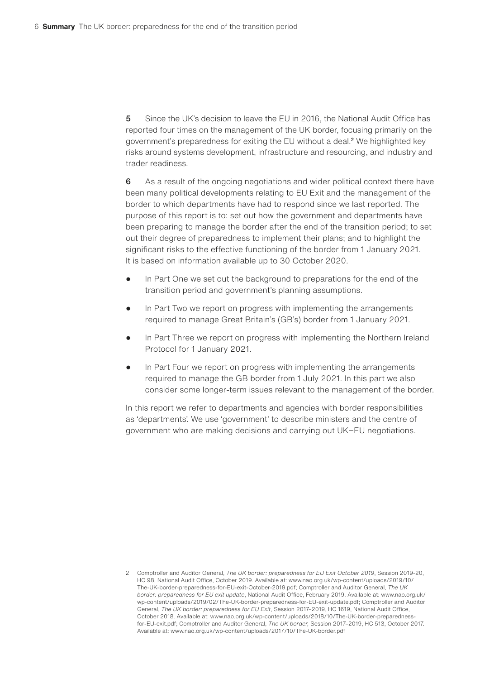5 Since the UK's decision to leave the EU in 2016, the National Audit Office has reported four times on the management of the UK border, focusing primarily on the government's preparedness for exiting the EU without a deal.<sup>2</sup> We highlighted key risks around systems development, infrastructure and resourcing, and industry and trader readiness.

6 As a result of the ongoing negotiations and wider political context there have been many political developments relating to EU Exit and the management of the border to which departments have had to respond since we last reported. The purpose of this report is to: set out how the government and departments have been preparing to manage the border after the end of the transition period; to set out their degree of preparedness to implement their plans; and to highlight the significant risks to the effective functioning of the border from 1 January 2021. It is based on information available up to 30 October 2020.

- In Part One we set out the background to preparations for the end of the transition period and government's planning assumptions.
- In Part Two we report on progress with implementing the arrangements required to manage Great Britain's (GB's) border from 1 January 2021.
- In Part Three we report on progress with implementing the Northern Ireland Protocol for 1 January 2021.
- In Part Four we report on progress with implementing the arrangements required to manage the GB border from 1 July 2021. In this part we also consider some longer-term issues relevant to the management of the border.

In this report we refer to departments and agencies with border responsibilities as 'departments'. We use 'government' to describe ministers and the centre of government who are making decisions and carrying out UK−EU negotiations.

<sup>2</sup> Comptroller and Auditor General, *The UK border: preparedness for EU Exit October 2019*, Session 2019-20, HC 98, National Audit Office, October 2019. Available at: [www.nao.org.uk/wp-content/uploads/2019/10/](http://www.nao.org.uk/wp-content/uploads/2019/10/The-UK-border-preparedness-for-EU-exit-October-2019.pdf) [The-UK-border-preparedness-for-EU-exit-October-2019.pdf;](http://www.nao.org.uk/wp-content/uploads/2019/10/The-UK-border-preparedness-for-EU-exit-October-2019.pdf) Comptroller and Auditor General, *The UK border: preparedness for EU exit update*, National Audit Office, February 2019. Available at: [www.nao.org.uk/](https://www.nao.org.uk/wp-content/uploads/2019/02/The-UK-border-preparedness-for-EU-exit-update.pdf) [wp-content/uploads/2019/02/The-UK-border-preparedness-for-EU-exit-update.pdf](https://www.nao.org.uk/wp-content/uploads/2019/02/The-UK-border-preparedness-for-EU-exit-update.pdf); Comptroller and Auditor General, *The UK border: preparedness for EU Exit*, Session 2017–2019, HC 1619, National Audit Office, October 2018. Available at: [www.nao.org.uk/wp-content/uploads/2018/10/The-UK-border-preparedness](https://www.nao.org.uk/wp-content/uploads/2018/10/The-UK-border-preparedness-for-EU-exit.pdf)[for-EU-exit.pdf](https://www.nao.org.uk/wp-content/uploads/2018/10/The-UK-border-preparedness-for-EU-exit.pdf); Comptroller and Auditor General, *The UK border,* Session 2017–2019, HC 513, October 2017. Available at: [www.nao.org.uk/wp-content/uploads/2017/10/The-UK-border.pdf](https://www.nao.org.uk/wp-content/uploads/2017/10/The-UK-border.pdf)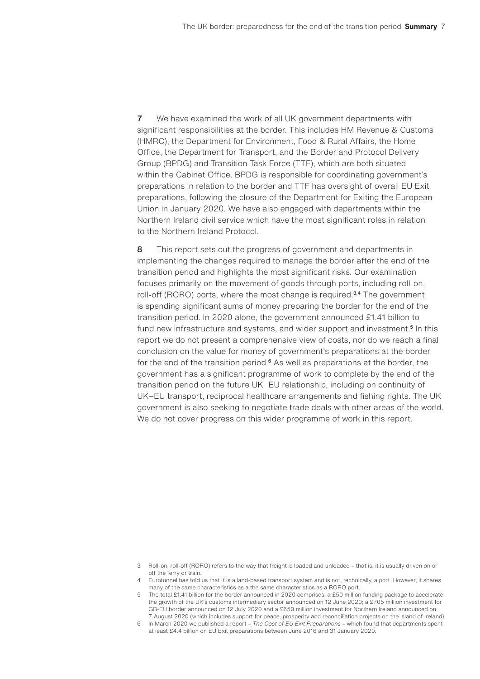7 We have examined the work of all UK government departments with significant responsibilities at the border. This includes HM Revenue & Customs (HMRC), the Department for Environment, Food & Rural Affairs, the Home Office, the Department for Transport, and the Border and Protocol Delivery Group (BPDG) and Transition Task Force (TTF), which are both situated within the Cabinet Office. BPDG is responsible for coordinating government's preparations in relation to the border and TTF has oversight of overall EU Exit preparations, following the closure of the Department for Exiting the European Union in January 2020. We have also engaged with departments within the Northern Ireland civil service which have the most significant roles in relation to the Northern Ireland Protocol.

8 This report sets out the progress of government and departments in implementing the changes required to manage the border after the end of the transition period and highlights the most significant risks. Our examination focuses primarily on the movement of goods through ports, including roll-on, roll-off (RORO) ports, where the most change is required.<sup>3,4</sup> The government is spending significant sums of money preparing the border for the end of the transition period. In 2020 alone, the government announced £1.41 billion to fund new infrastructure and systems, and wider support and investment.<sup>5</sup> In this report we do not present a comprehensive view of costs, nor do we reach a final conclusion on the value for money of government's preparations at the border for the end of the transition period.<sup>6</sup> As well as preparations at the border, the government has a significant programme of work to complete by the end of the transition period on the future UK−EU relationship, including on continuity of UK−EU transport, reciprocal healthcare arrangements and fishing rights. The UK government is also seeking to negotiate trade deals with other areas of the world. We do not cover progress on this wider programme of work in this report.

- 3 Roll-on, roll-off (RORO) refers to the way that freight is loaded and unloaded that is, it is usually driven on or off the ferry or train.
- 4 Eurotunnel has told us that it is a land-based transport system and is not, technically, a port. However, it shares many of the same characteristics as a the same characteristics as a RORO port.
- 5 The total £1.41 billion for the border announced in 2020 comprises: [a £50 million funding package to accelerate](https://www.gov.uk/government/news/new-measures-to-support-customs-intermediaries)  [the growth of the UK's customs intermediary sector](https://www.gov.uk/government/news/new-measures-to-support-customs-intermediaries) announced on 12 June 2020; [a £705 million investment for](https://www.gov.uk/government/news/705-million-investment-for-gb-eu-border)  [GB-EU border](https://www.gov.uk/government/news/705-million-investment-for-gb-eu-border) announced on 12 July 2020 and [a £650 million investment for Northern Ireland](https://www.gov.uk/government/news/major-650-million-investment-for-northern-ireland) announced on 7 August 2020 (which includes support for peace, prosperity and reconciliation projects on the island of Ireland).
- 6 In March 2020 we published a report *The Cost of EU Exit Preparations* which found that departments spent at least £4.4 billion on EU Exit preparations between June 2016 and 31 January 2020.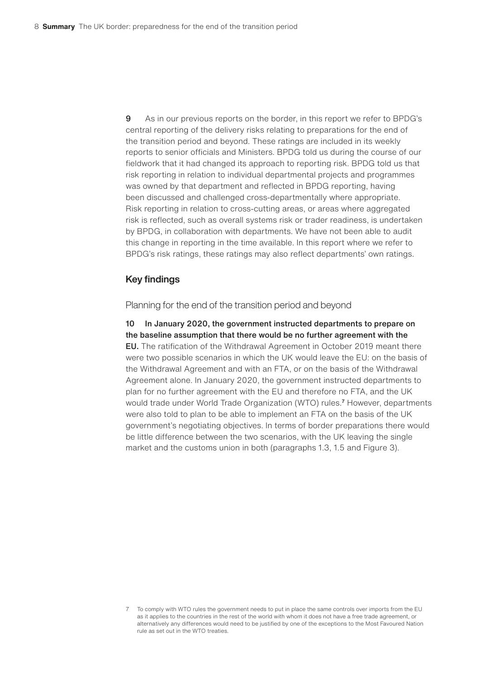9 As in our previous reports on the border, in this report we refer to BPDG's central reporting of the delivery risks relating to preparations for the end of the transition period and beyond. These ratings are included in its weekly reports to senior officials and Ministers. BPDG told us during the course of our fieldwork that it had changed its approach to reporting risk. BPDG told us that risk reporting in relation to individual departmental projects and programmes was owned by that department and reflected in BPDG reporting, having been discussed and challenged cross-departmentally where appropriate. Risk reporting in relation to cross-cutting areas, or areas where aggregated risk is reflected, such as overall systems risk or trader readiness, is undertaken by BPDG, in collaboration with departments. We have not been able to audit this change in reporting in the time available. In this report where we refer to BPDG's risk ratings, these ratings may also reflect departments' own ratings.

#### Key findings

Planning for the end of the transition period and beyond

10 In January 2020, the government instructed departments to prepare on the baseline assumption that there would be no further agreement with the EU. The ratification of the Withdrawal Agreement in October 2019 meant there were two possible scenarios in which the UK would leave the EU: on the basis of the Withdrawal Agreement and with an FTA, or on the basis of the Withdrawal Agreement alone. In January 2020, the government instructed departments to plan for no further agreement with the EU and therefore no FTA, and the UK would trade under World Trade Organization (WTO) rules.<sup>7</sup> However, departments were also told to plan to be able to implement an FTA on the basis of the UK government's negotiating objectives. In terms of border preparations there would be little difference between the two scenarios, with the UK leaving the single market and the customs union in both (paragraphs 1.3, 1.5 and Figure 3).

<sup>7</sup> To comply with WTO rules the government needs to put in place the same controls over imports from the EU as it applies to the countries in the rest of the world with whom it does not have a free trade agreement, or alternatively any differences would need to be justified by one of the exceptions to the Most Favoured Nation rule as set out in the WTO treaties.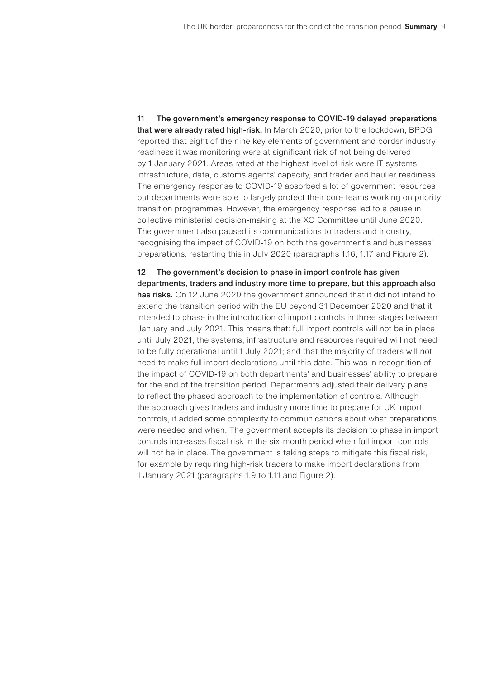11 The government's emergency response to COVID-19 delayed preparations that were already rated high-risk. In March 2020, prior to the lockdown, BPDG reported that eight of the nine key elements of government and border industry readiness it was monitoring were at significant risk of not being delivered by 1 January 2021. Areas rated at the highest level of risk were IT systems, infrastructure, data, customs agents' capacity, and trader and haulier readiness. The emergency response to COVID-19 absorbed a lot of government resources but departments were able to largely protect their core teams working on priority transition programmes. However, the emergency response led to a pause in collective ministerial decision-making at the XO Committee until June 2020. The government also paused its communications to traders and industry, recognising the impact of COVID-19 on both the government's and businesses' preparations, restarting this in July 2020 (paragraphs 1.16, 1.17 and Figure 2).

12 The government's decision to phase in import controls has given departments, traders and industry more time to prepare, but this approach also has risks. On 12 June 2020 the government announced that it did not intend to extend the transition period with the EU beyond 31 December 2020 and that it intended to phase in the introduction of import controls in three stages between January and July 2021. This means that: full import controls will not be in place until July 2021; the systems, infrastructure and resources required will not need to be fully operational until 1 July 2021; and that the majority of traders will not need to make full import declarations until this date. This was in recognition of the impact of COVID-19 on both departments' and businesses' ability to prepare for the end of the transition period. Departments adjusted their delivery plans to reflect the phased approach to the implementation of controls. Although the approach gives traders and industry more time to prepare for UK import controls, it added some complexity to communications about what preparations were needed and when. The government accepts its decision to phase in import controls increases fiscal risk in the six-month period when full import controls will not be in place. The government is taking steps to mitigate this fiscal risk, for example by requiring high-risk traders to make import declarations from 1 January 2021 (paragraphs 1.9 to 1.11 and Figure 2).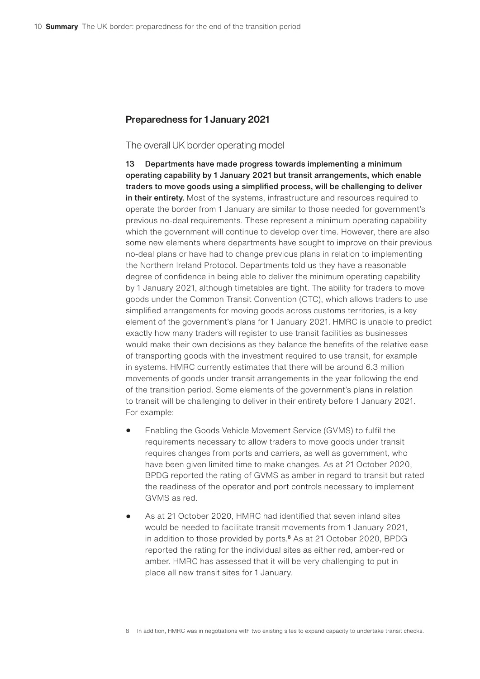#### Preparedness for 1 January 2021

#### The overall UK border operating model

13 Departments have made progress towards implementing a minimum operating capability by 1 January 2021 but transit arrangements, which enable traders to move goods using a simplified process, will be challenging to deliver in their entirety. Most of the systems, infrastructure and resources required to operate the border from 1 January are similar to those needed for government's previous no-deal requirements. These represent a minimum operating capability which the government will continue to develop over time. However, there are also some new elements where departments have sought to improve on their previous no-deal plans or have had to change previous plans in relation to implementing the Northern Ireland Protocol. Departments told us they have a reasonable degree of confidence in being able to deliver the minimum operating capability by 1 January 2021, although timetables are tight. The ability for traders to move goods under the Common Transit Convention (CTC), which allows traders to use simplified arrangements for moving goods across customs territories, is a key element of the government's plans for 1 January 2021. HMRC is unable to predict exactly how many traders will register to use transit facilities as businesses would make their own decisions as they balance the benefits of the relative ease of transporting goods with the investment required to use transit, for example in systems. HMRC currently estimates that there will be around 6.3 million movements of goods under transit arrangements in the year following the end of the transition period. Some elements of the government's plans in relation to transit will be challenging to deliver in their entirety before 1 January 2021. For example:

- Enabling the Goods Vehicle Movement Service (GVMS) to fulfil the requirements necessary to allow traders to move goods under transit requires changes from ports and carriers, as well as government, who have been given limited time to make changes. As at 21 October 2020, BPDG reported the rating of GVMS as amber in regard to transit but rated the readiness of the operator and port controls necessary to implement GVMS as red.
- As at 21 October 2020, HMRC had identified that seven inland sites would be needed to facilitate transit movements from 1 January 2021, in addition to those provided by ports.<sup>8</sup> As at 21 October 2020, BPDG reported the rating for the individual sites as either red, amber-red or amber. HMRC has assessed that it will be very challenging to put in place all new transit sites for 1 January.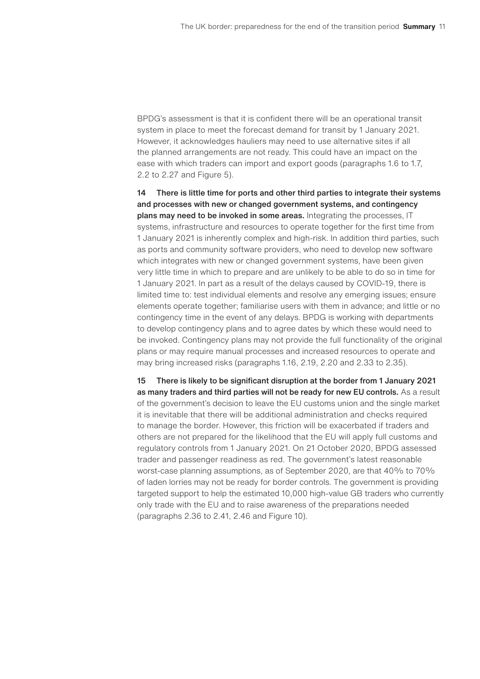BPDG's assessment is that it is confident there will be an operational transit system in place to meet the forecast demand for transit by 1 January 2021. However, it acknowledges hauliers may need to use alternative sites if all the planned arrangements are not ready. This could have an impact on the ease with which traders can import and export goods (paragraphs 1.6 to 1.7, 2.2 to 2.27 and Figure 5).

14 There is little time for ports and other third parties to integrate their systems and processes with new or changed government systems, and contingency plans may need to be invoked in some areas. Integrating the processes, IT systems, infrastructure and resources to operate together for the first time from 1 January 2021 is inherently complex and high-risk. In addition third parties, such as ports and community software providers, who need to develop new software which integrates with new or changed government systems, have been given very little time in which to prepare and are unlikely to be able to do so in time for 1 January 2021. In part as a result of the delays caused by COVID-19, there is limited time to: test individual elements and resolve any emerging issues; ensure elements operate together; familiarise users with them in advance; and little or no contingency time in the event of any delays. BPDG is working with departments to develop contingency plans and to agree dates by which these would need to be invoked. Contingency plans may not provide the full functionality of the original plans or may require manual processes and increased resources to operate and may bring increased risks (paragraphs 1.16, 2.19, 2.20 and 2.33 to 2.35).

15 There is likely to be significant disruption at the border from 1 January 2021 as many traders and third parties will not be ready for new EU controls. As a result of the government's decision to leave the EU customs union and the single market it is inevitable that there will be additional administration and checks required to manage the border. However, this friction will be exacerbated if traders and others are not prepared for the likelihood that the EU will apply full customs and regulatory controls from 1 January 2021. On 21 October 2020, BPDG assessed trader and passenger readiness as red. The government's latest reasonable worst-case planning assumptions, as of September 2020, are that 40% to 70% of laden lorries may not be ready for border controls. The government is providing targeted support to help the estimated 10,000 high-value GB traders who currently only trade with the EU and to raise awareness of the preparations needed (paragraphs 2.36 to 2.41, 2.46 and Figure 10).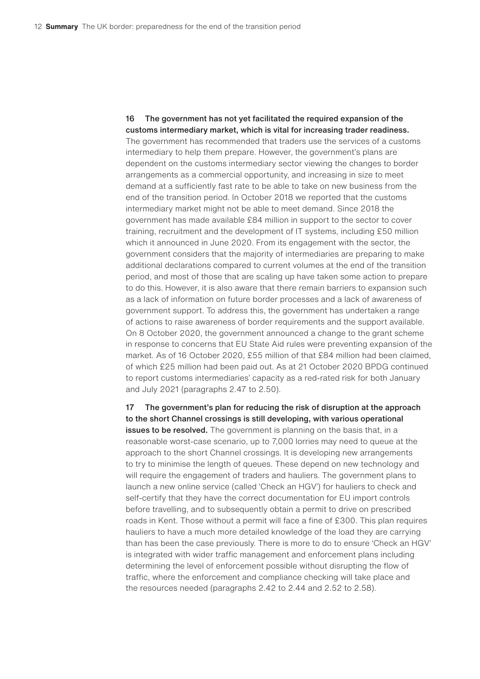16 The government has not yet facilitated the required expansion of the customs intermediary market, which is vital for increasing trader readiness. The government has recommended that traders use the services of a customs intermediary to help them prepare. However, the government's plans are dependent on the customs intermediary sector viewing the changes to border arrangements as a commercial opportunity, and increasing in size to meet demand at a sufficiently fast rate to be able to take on new business from the end of the transition period. In October 2018 we reported that the customs intermediary market might not be able to meet demand. Since 2018 the government has made available £84 million in support to the sector to cover training, recruitment and the development of IT systems, including £50 million which it announced in June 2020. From its engagement with the sector, the government considers that the majority of intermediaries are preparing to make additional declarations compared to current volumes at the end of the transition period, and most of those that are scaling up have taken some action to prepare to do this. However, it is also aware that there remain barriers to expansion such as a lack of information on future border processes and a lack of awareness of government support. To address this, the government has undertaken a range of actions to raise awareness of border requirements and the support available. On 8 October 2020, the government announced a change to the grant scheme in response to concerns that EU State Aid rules were preventing expansion of the market. As of 16 October 2020, £55 million of that £84 million had been claimed, of which £25 million had been paid out. As at 21 October 2020 BPDG continued to report customs intermediaries' capacity as a red-rated risk for both January and July 2021 (paragraphs 2.47 to 2.50).

17 The government's plan for reducing the risk of disruption at the approach to the short Channel crossings is still developing, with various operational issues to be resolved. The government is planning on the basis that, in a reasonable worst-case scenario, up to 7,000 lorries may need to queue at the approach to the short Channel crossings. It is developing new arrangements to try to minimise the length of queues. These depend on new technology and will require the engagement of traders and hauliers. The government plans to launch a new online service (called 'Check an HGV') for hauliers to check and self-certify that they have the correct documentation for EU import controls before travelling, and to subsequently obtain a permit to drive on prescribed roads in Kent. Those without a permit will face a fine of £300. This plan requires hauliers to have a much more detailed knowledge of the load they are carrying than has been the case previously. There is more to do to ensure 'Check an HGV' is integrated with wider traffic management and enforcement plans including determining the level of enforcement possible without disrupting the flow of traffic, where the enforcement and compliance checking will take place and the resources needed (paragraphs 2.42 to 2.44 and 2.52 to 2.58).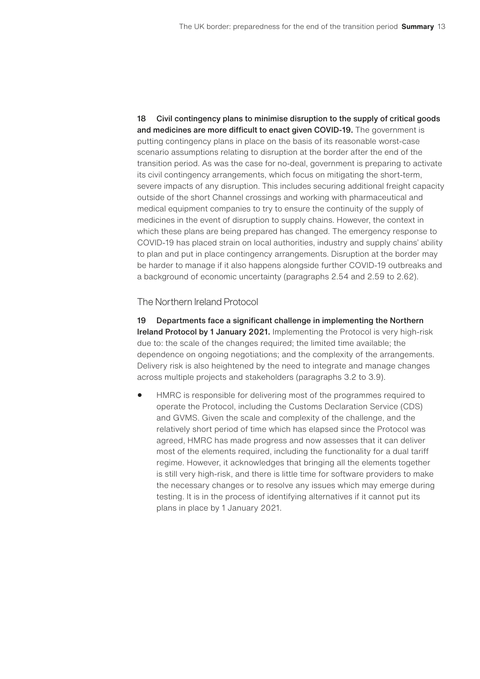18 Civil contingency plans to minimise disruption to the supply of critical goods and medicines are more difficult to enact given COVID-19. The government is putting contingency plans in place on the basis of its reasonable worst-case scenario assumptions relating to disruption at the border after the end of the transition period. As was the case for no-deal, government is preparing to activate its civil contingency arrangements, which focus on mitigating the short-term, severe impacts of any disruption. This includes securing additional freight capacity outside of the short Channel crossings and working with pharmaceutical and medical equipment companies to try to ensure the continuity of the supply of medicines in the event of disruption to supply chains. However, the context in which these plans are being prepared has changed. The emergency response to COVID-19 has placed strain on local authorities, industry and supply chains' ability to plan and put in place contingency arrangements. Disruption at the border may be harder to manage if it also happens alongside further COVID-19 outbreaks and a background of economic uncertainty (paragraphs 2.54 and 2.59 to 2.62).

The Northern Ireland Protocol

19 Departments face a significant challenge in implementing the Northern Ireland Protocol by 1 January 2021. Implementing the Protocol is very high-risk due to: the scale of the changes required; the limited time available; the dependence on ongoing negotiations; and the complexity of the arrangements. Delivery risk is also heightened by the need to integrate and manage changes across multiple projects and stakeholders (paragraphs 3.2 to 3.9).

• HMRC is responsible for delivering most of the programmes required to operate the Protocol, including the Customs Declaration Service (CDS) and GVMS. Given the scale and complexity of the challenge, and the relatively short period of time which has elapsed since the Protocol was agreed, HMRC has made progress and now assesses that it can deliver most of the elements required, including the functionality for a dual tariff regime. However, it acknowledges that bringing all the elements together is still very high-risk, and there is little time for software providers to make the necessary changes or to resolve any issues which may emerge during testing. It is in the process of identifying alternatives if it cannot put its plans in place by 1 January 2021.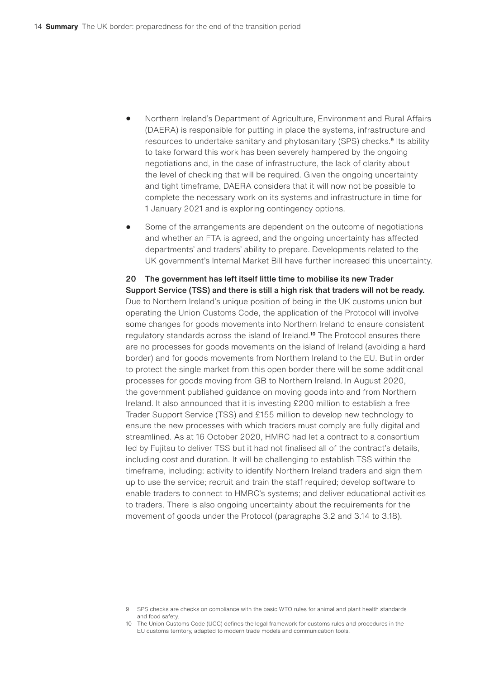- Northern Ireland's Department of Agriculture, Environment and Rural Affairs (DAERA) is responsible for putting in place the systems, infrastructure and resources to undertake sanitary and phytosanitary (SPS) checks.<sup>9</sup> Its ability to take forward this work has been severely hampered by the ongoing negotiations and, in the case of infrastructure, the lack of clarity about the level of checking that will be required. Given the ongoing uncertainty and tight timeframe, DAERA considers that it will now not be possible to complete the necessary work on its systems and infrastructure in time for 1 January 2021 and is exploring contingency options.
- Some of the arrangements are dependent on the outcome of negotiations and whether an FTA is agreed, and the ongoing uncertainty has affected departments' and traders' ability to prepare. Developments related to the UK government's Internal Market Bill have further increased this uncertainty.

#### 20 The government has left itself little time to mobilise its new Trader Support Service (TSS) and there is still a high risk that traders will not be ready. Due to Northern Ireland's unique position of being in the UK customs union but operating the Union Customs Code, the application of the Protocol will involve some changes for goods movements into Northern Ireland to ensure consistent regulatory standards across the island of Ireland.<sup>10</sup> The Protocol ensures there are no processes for goods movements on the island of Ireland (avoiding a hard border) and for goods movements from Northern Ireland to the EU. But in order to protect the single market from this open border there will be some additional processes for goods moving from GB to Northern Ireland. In August 2020, the government published guidance on moving goods into and from Northern Ireland. It also announced that it is investing £200 million to establish a free Trader Support Service (TSS) and £155 million to develop new technology to ensure the new processes with which traders must comply are fully digital and streamlined. As at 16 October 2020, HMRC had let a contract to a consortium led by Fujitsu to deliver TSS but it had not finalised all of the contract's details, including cost and duration. It will be challenging to establish TSS within the timeframe, including: activity to identify Northern Ireland traders and sign them up to use the service; recruit and train the staff required; develop software to enable traders to connect to HMRC's systems; and deliver educational activities to traders. There is also ongoing uncertainty about the requirements for the movement of goods under the Protocol (paragraphs 3.2 and 3.14 to 3.18).

<sup>9</sup> SPS checks are checks on compliance with the basic WTO rules for animal and plant health standards and food safety.

<sup>10</sup> The Union Customs Code (UCC) defines the legal framework for customs rules and procedures in the EU customs territory, adapted to modern trade models and communication tools.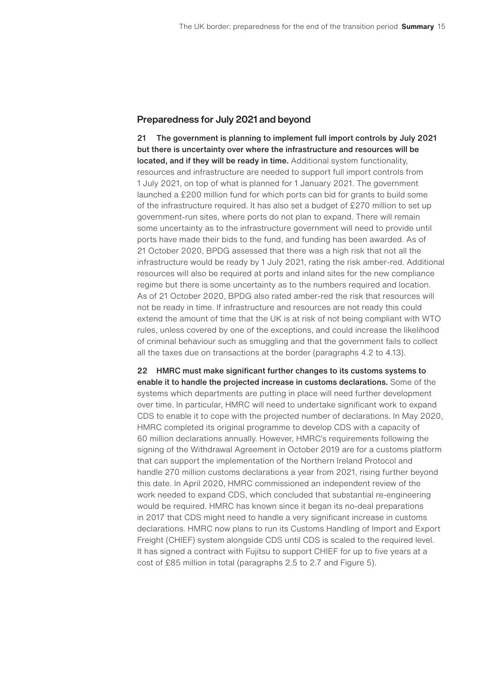#### Preparedness for July 2021 and beyond

21 The government is planning to implement full import controls by July 2021 but there is uncertainty over where the infrastructure and resources will be located, and if they will be ready in time. Additional system functionality, resources and infrastructure are needed to support full import controls from 1 July 2021, on top of what is planned for 1 January 2021. The government launched a £200 million fund for which ports can bid for grants to build some of the infrastructure required. It has also set a budget of £270 million to set up government-run sites, where ports do not plan to expand. There will remain some uncertainty as to the infrastructure government will need to provide until ports have made their bids to the fund, and funding has been awarded. As of 21 October 2020, BPDG assessed that there was a high risk that not all the infrastructure would be ready by 1 July 2021, rating the risk amber-red. Additional resources will also be required at ports and inland sites for the new compliance regime but there is some uncertainty as to the numbers required and location. As of 21 October 2020, BPDG also rated amber-red the risk that resources will not be ready in time. If infrastructure and resources are not ready this could extend the amount of time that the UK is at risk of not being compliant with WTO rules, unless covered by one of the exceptions, and could increase the likelihood of criminal behaviour such as smuggling and that the government fails to collect all the taxes due on transactions at the border (paragraphs 4.2 to 4.13).

22 HMRC must make significant further changes to its customs systems to enable it to handle the projected increase in customs declarations. Some of the systems which departments are putting in place will need further development over time. In particular, HMRC will need to undertake significant work to expand CDS to enable it to cope with the projected number of declarations. In May 2020, HMRC completed its original programme to develop CDS with a capacity of 60 million declarations annually. However, HMRC's requirements following the signing of the Withdrawal Agreement in October 2019 are for a customs platform that can support the implementation of the Northern Ireland Protocol and handle 270 million customs declarations a year from 2021, rising further beyond this date. In April 2020, HMRC commissioned an independent review of the work needed to expand CDS, which concluded that substantial re-engineering would be required. HMRC has known since it began its no-deal preparations in 2017 that CDS might need to handle a very significant increase in customs declarations. HMRC now plans to run its Customs Handling of Import and Export Freight (CHIEF) system alongside CDS until CDS is scaled to the required level. It has signed a contract with Fujitsu to support CHIEF for up to five years at a cost of £85 million in total (paragraphs 2.5 to 2.7 and Figure 5).